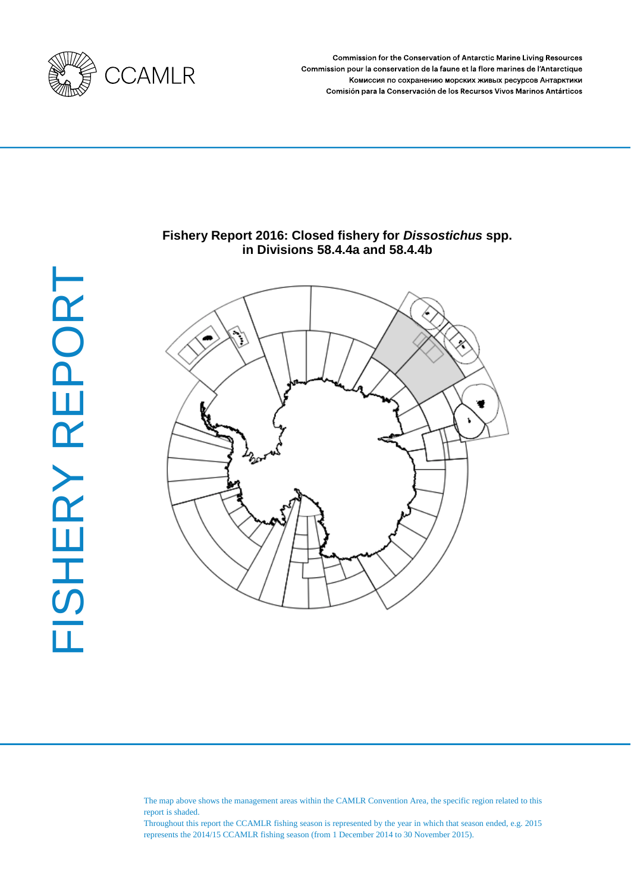

**Commission for the Conservation of Antarctic Marine Living Resources** Commission pour la conservation de la faune et la flore marines de l'Antarctique Комиссия по сохранению морских живых ресурсов Антарктики Comisión para la Conservación de los Recursos Vivos Marinos Antárticos



# **Fishery Report 2016: Closed fishery for** *Dissostichus* **spp. in Divisions 58.4.4a and 58.4.4b**



The map above shows the management areas within the CAMLR Convention Area, the specific region related to this report is shaded.

Throughout this report the CCAMLR fishing season is represented by the year in which that season ended, e.g. 2015 represents the 2014/15 CCAMLR fishing season (from 1 December 2014 to 30 November 2015).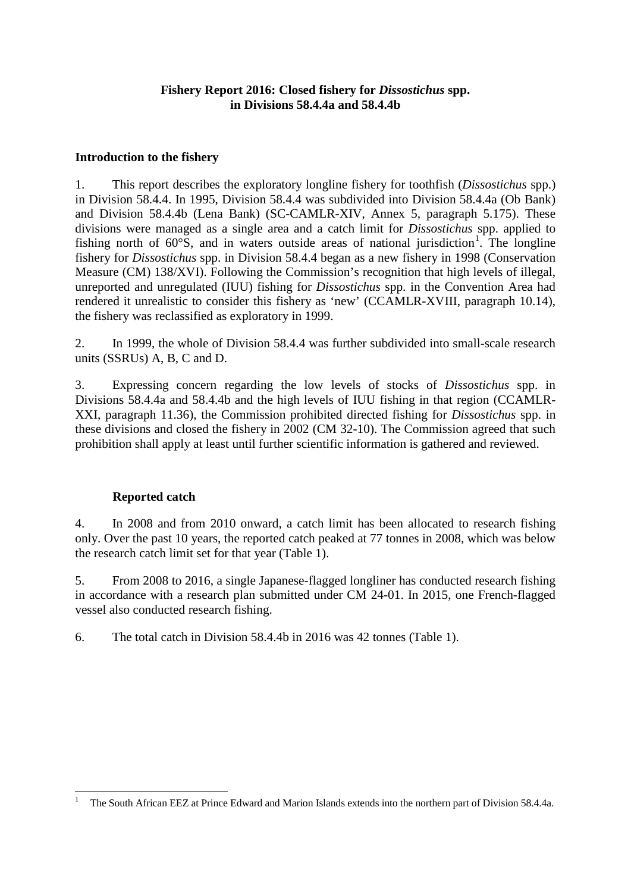# **Fishery Report 2016: Closed fishery for** *Dissostichus* **spp. in Divisions 58.4.4a and 58.4.4b**

## **Introduction to the fishery**

1. This report describes the exploratory longline fishery for toothfish (*Dissostichus* spp.) in Division 58.4.4. In 1995, Division 58.4.4 was subdivided into Division 58.4.4a (Ob Bank) and Division 58.4.4b (Lena Bank) (SC-CAMLR-XIV, Annex 5, paragraph 5.175). These divisions were managed as a single area and a catch limit for *Dissostichus* spp. applied to fishing north of  $60^{\circ}$ S, and in waters outside areas of national jurisdiction<sup>[1](#page-2-0)</sup>. The longline fishery for *Dissostichus* spp. in Division 58.4.4 began as a new fishery in 1998 (Conservation Measure (CM) 138/XVI). Following the Commission's recognition that high levels of illegal, unreported and unregulated (IUU) fishing for *Dissostichus* spp. in the Convention Area had rendered it unrealistic to consider this fishery as 'new' (CCAMLR-XVIII, paragraph 10.14), the fishery was reclassified as exploratory in 1999.

2. In 1999, the whole of Division 58.4.4 was further subdivided into small-scale research units (SSRUs) A, B, C and D.

3. Expressing concern regarding the low levels of stocks of *Dissostichus* spp. in Divisions 58.4.4a and 58.4.4b and the high levels of IUU fishing in that region (CCAMLR-XXI, paragraph 11.36), the Commission prohibited directed fishing for *Dissostichus* spp. in these divisions and closed the fishery in 2002 (CM 32-10). The Commission agreed that such prohibition shall apply at least until further scientific information is gathered and reviewed.

# **Reported catch**

4. In 2008 and from 2010 onward, a catch limit has been allocated to research fishing only. Over the past 10 years, the reported catch peaked at 77 tonnes in 2008, which was below the research catch limit set for that year (Table 1).

5. From 2008 to 2016, a single Japanese-flagged longliner has conducted research fishing in accordance with a research plan submitted under CM 24-01. In 2015, one French-flagged vessel also conducted research fishing.

6. The total catch in Division 58.4.4b in 2016 was 42 tonnes (Table 1).

<span id="page-2-0"></span> <sup>1</sup> The South African EEZ at Prince Edward and Marion Islands extends into the northern part of Division 58.4.4a.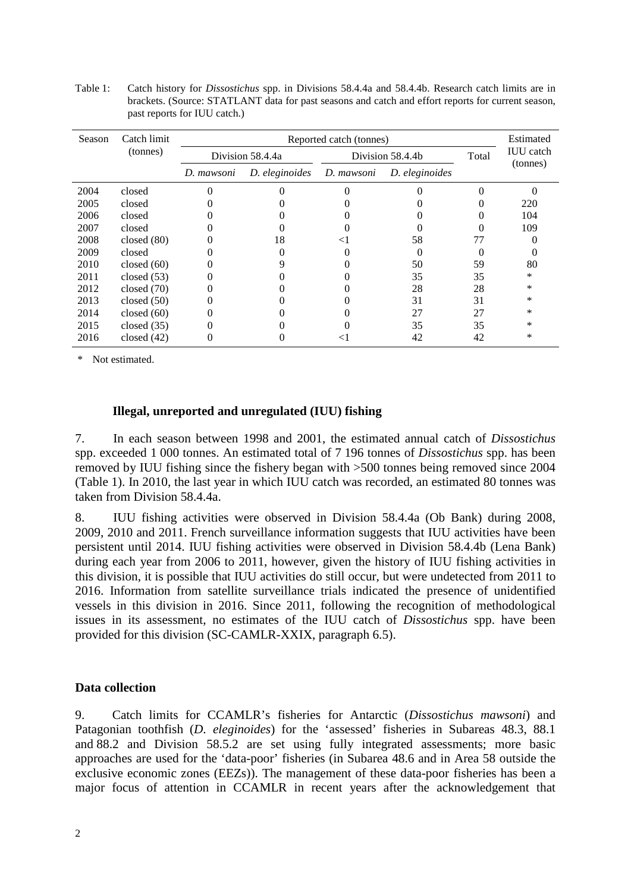Table 1: Catch history for *Dissostichus* spp. in Divisions 58.4.4a and 58.4.4b. Research catch limits are in brackets. (Source: STATLANT data for past seasons and catch and effort reports for current season, past reports for IUU catch.)

| Season | Catch limit   |                                                              | Estimated        |                  |       |                              |
|--------|---------------|--------------------------------------------------------------|------------------|------------------|-------|------------------------------|
|        | (tonnes)      |                                                              | Division 58.4.4a | Division 58.4.4b | Total | <b>IUU</b> catch<br>(tonnes) |
|        |               | D. eleginoides<br>D. mawsoni<br>D. eleginoides<br>D. mawsoni |                  |                  |       |                              |
| 2004   | closed        |                                                              |                  |                  |       |                              |
| 2005   | closed        |                                                              |                  |                  |       | 220                          |
| 2006   | closed        |                                                              |                  |                  |       | 104                          |
| 2007   | closed        |                                                              |                  |                  |       | 109                          |
| 2008   | closed $(80)$ |                                                              | 18               | 58               | 77    |                              |
| 2009   | closed        |                                                              |                  |                  | 0     |                              |
| 2010   | closed $(60)$ |                                                              | Q                | 50               | 59    | 80                           |
| 2011   | closed $(53)$ |                                                              |                  | 35               | 35    | *                            |
| 2012   | closed $(70)$ |                                                              |                  | 28               | 28    | *                            |
| 2013   | closed $(50)$ |                                                              |                  | 31               | 31    | *                            |
| 2014   | closed $(60)$ |                                                              |                  | 27               | 27    | *                            |
| 2015   | closed $(35)$ |                                                              |                  | 35               | 35    | *                            |
| 2016   | closed $(42)$ |                                                              |                  | 42               | 42    | *                            |

\* Not estimated.

## **Illegal, unreported and unregulated (IUU) fishing**

7. In each season between 1998 and 2001, the estimated annual catch of *Dissostichus* spp. exceeded 1 000 tonnes. An estimated total of 7 196 tonnes of *Dissostichus* spp. has been removed by IUU fishing since the fishery began with >500 tonnes being removed since 2004 (Table 1). In 2010, the last year in which IUU catch was recorded, an estimated 80 tonnes was taken from Division 58.4.4a.

8. IUU fishing activities were observed in Division 58.4.4a (Ob Bank) during 2008, 2009, 2010 and 2011. French surveillance information suggests that IUU activities have been persistent until 2014. IUU fishing activities were observed in Division 58.4.4b (Lena Bank) during each year from 2006 to 2011, however, given the history of IUU fishing activities in this division, it is possible that IUU activities do still occur, but were undetected from 2011 to 2016. Information from satellite surveillance trials indicated the presence of unidentified vessels in this division in 2016. Since 2011, following the recognition of methodological issues in its assessment, no estimates of the IUU catch of *Dissostichus* spp. have been provided for this division (SC-CAMLR-XXIX, paragraph 6.5).

### **Data collection**

9. Catch limits for CCAMLR's fisheries for Antarctic (*Dissostichus mawsoni*) and Patagonian toothfish (*D. eleginoides*) for the 'assessed' fisheries in Subareas 48.3, 88.1 and 88.2 and Division 58.5.2 are set using fully integrated assessments; more basic approaches are used for the 'data-poor' fisheries (in Subarea 48.6 and in Area 58 outside the exclusive economic zones (EEZs)). The management of these data-poor fisheries has been a major focus of attention in CCAMLR in recent years after the acknowledgement that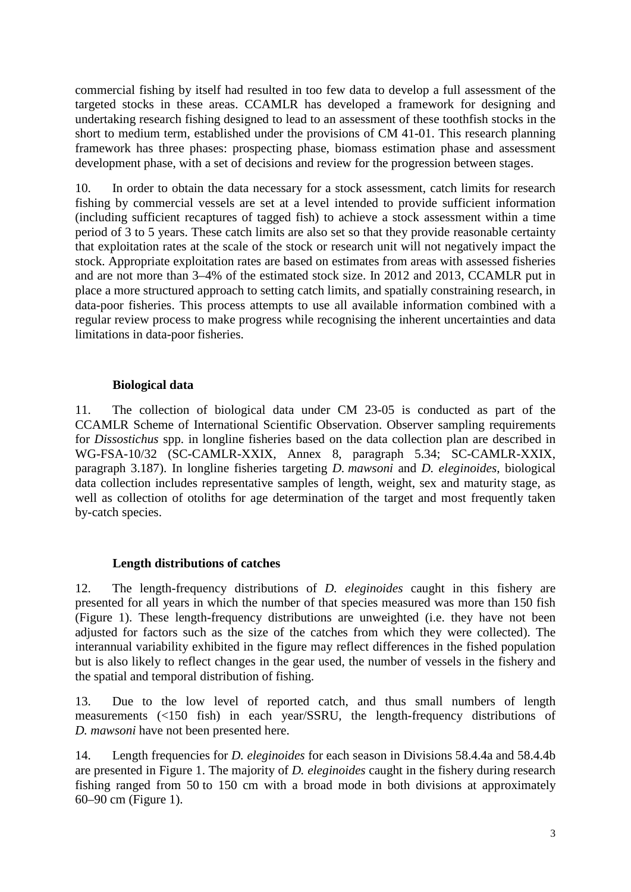commercial fishing by itself had resulted in too few data to develop a full assessment of the targeted stocks in these areas. CCAMLR has developed a framework for designing and undertaking research fishing designed to lead to an assessment of these toothfish stocks in the short to medium term, established under the provisions of CM 41-01. This research planning framework has three phases: prospecting phase, biomass estimation phase and assessment development phase, with a set of decisions and review for the progression between stages.

10. In order to obtain the data necessary for a stock assessment, catch limits for research fishing by commercial vessels are set at a level intended to provide sufficient information (including sufficient recaptures of tagged fish) to achieve a stock assessment within a time period of 3 to 5 years. These catch limits are also set so that they provide reasonable certainty that exploitation rates at the scale of the stock or research unit will not negatively impact the stock. Appropriate exploitation rates are based on estimates from areas with assessed fisheries and are not more than 3–4% of the estimated stock size. In 2012 and 2013, CCAMLR put in place a more structured approach to setting catch limits, and spatially constraining research, in data-poor fisheries. This process attempts to use all available information combined with a regular review process to make progress while recognising the inherent uncertainties and data limitations in data-poor fisheries.

# **Biological data**

11. The collection of biological data under CM 23-05 is conducted as part of the CCAMLR Scheme of International Scientific Observation. Observer sampling requirements for *Dissostichus* spp. in longline fisheries based on the data collection plan are described in WG-FSA-10/32 (SC-CAMLR-XXIX, Annex 8, paragraph 5.34; SC-CAMLR-XXIX, paragraph 3.187). In longline fisheries targeting *D. mawsoni* and *D. eleginoides*, biological data collection includes representative samples of length, weight, sex and maturity stage, as well as collection of otoliths for age determination of the target and most frequently taken by-catch species.

# **Length distributions of catches**

12. The length-frequency distributions of *D. eleginoides* caught in this fishery are presented for all years in which the number of that species measured was more than 150 fish (Figure 1). These length-frequency distributions are unweighted (i.e. they have not been adjusted for factors such as the size of the catches from which they were collected). The interannual variability exhibited in the figure may reflect differences in the fished population but is also likely to reflect changes in the gear used, the number of vessels in the fishery and the spatial and temporal distribution of fishing.

13. Due to the low level of reported catch, and thus small numbers of length measurements (<150 fish) in each year/SSRU, the length-frequency distributions of *D. mawsoni* have not been presented here.

14. Length frequencies for *D. eleginoides* for each season in Divisions 58.4.4a and 58.4.4b are presented in Figure 1. The majority of *D. eleginoides* caught in the fishery during research fishing ranged from 50 to 150 cm with a broad mode in both divisions at approximately 60–90 cm (Figure 1).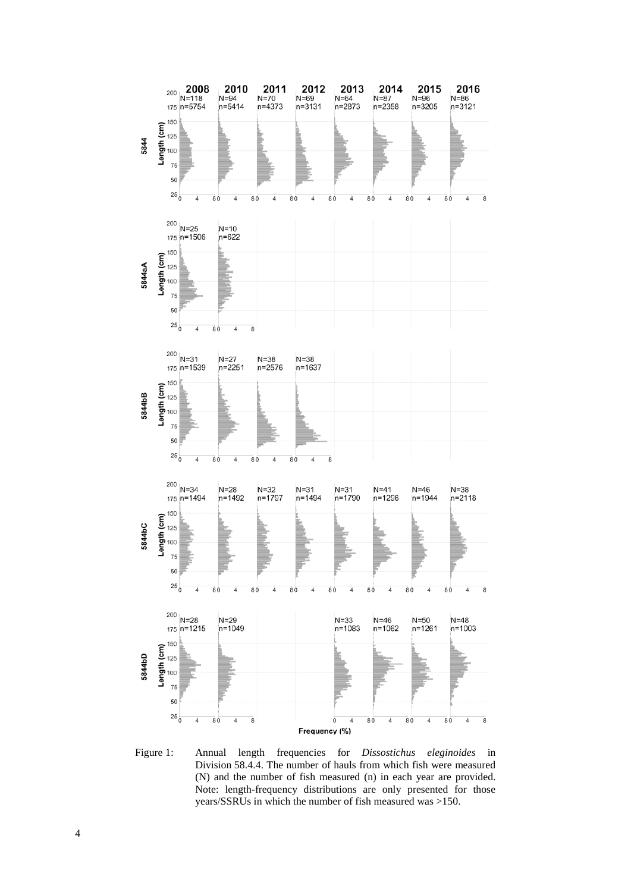

Figure 1: Annual length frequencies for *Dissostichus eleginoides* in Division 58.4.4. The number of hauls from which fish were measured (N) and the number of fish measured (n) in each year are provided. Note: length-frequency distributions are only presented for those years/SSRUs in which the number of fish measured was >150.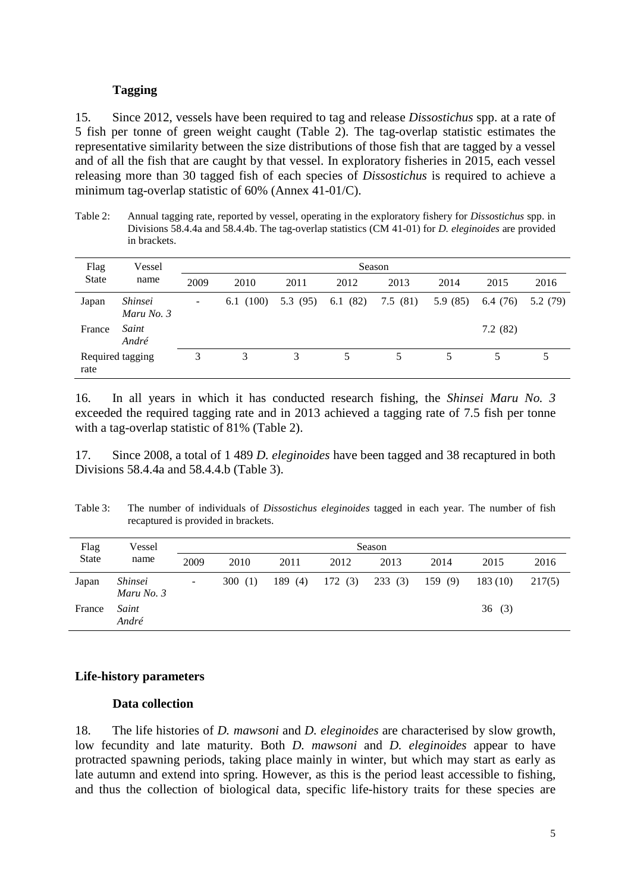#### **Tagging**

15. Since 2012, vessels have been required to tag and release *Dissostichus* spp. at a rate of 5 fish per tonne of green weight caught (Table 2). The tag-overlap statistic estimates the representative similarity between the size distributions of those fish that are tagged by a vessel and of all the fish that are caught by that vessel. In exploratory fisheries in 2015, each vessel releasing more than 30 tagged fish of each species of *Dissostichus* is required to achieve a minimum tag-overlap statistic of 60% (Annex 41-01/C).

Table 2: Annual tagging rate, reported by vessel, operating in the exploratory fishery for *Dissostichus* spp. in Divisions 58.4.4a and 58.4.4b. The tag-overlap statistics (CM 41-01) for *D. eleginoides* are provided in brackets.

| Flag                     | Vessel                              | Season                   |              |          |         |         |         |         |          |
|--------------------------|-------------------------------------|--------------------------|--------------|----------|---------|---------|---------|---------|----------|
| <b>State</b>             | name                                | 2009                     | 2010         | 2011     | 2012    | 2013    | 2014    | 2015    | 2016     |
| Japan                    | <i><b>Shinsei</b></i><br>Maru No. 3 | $\overline{\phantom{a}}$ | (100)<br>6.1 | 5.3 (95) | 6.1(82) | 7.5(81) | 5.9(85) | 6.4(76) | 5.2 (79) |
| France                   | Saint<br>André                      |                          |              |          |         |         |         | 7.2(82) |          |
| Required tagging<br>rate |                                     | 3                        | 3            | 3        |         | 5       | 5       | 5       |          |

16. In all years in which it has conducted research fishing, the *Shinsei Maru No. 3*  exceeded the required tagging rate and in 2013 achieved a tagging rate of 7.5 fish per tonne with a tag-overlap statistic of 81% (Table 2).

17. Since 2008, a total of 1 489 *D. eleginoides* have been tagged and 38 recaptured in both Divisions 58.4.4a and 58.4.4.b (Table 3).

Table 3: The number of individuals of *Dissostichus eleginoides* tagged in each year. The number of fish recaptured is provided in brackets.

| Flag         | Vessel                              | Season                   |           |        |        |        |        |         |        |
|--------------|-------------------------------------|--------------------------|-----------|--------|--------|--------|--------|---------|--------|
| <b>State</b> | name                                | 2009                     | 2010      | 2011   | 2012   | 2013   | 2014   | 2015    | 2016   |
| Japan        | <i><b>Shinsei</b></i><br>Maru No. 3 | $\overline{\phantom{a}}$ | 300 $(1)$ | 189(4) | 172(3) | 233(3) | 159(9) | 183(10) | 217(5) |
| France       | Saint<br>André                      |                          |           |        |        |        |        | 36(3)   |        |

### **Life-history parameters**

#### **Data collection**

18. The life histories of *D. mawsoni* and *D. eleginoides* are characterised by slow growth, low fecundity and late maturity. Both *D. mawsoni* and *D. eleginoides* appear to have protracted spawning periods, taking place mainly in winter, but which may start as early as late autumn and extend into spring. However, as this is the period least accessible to fishing, and thus the collection of biological data, specific life-history traits for these species are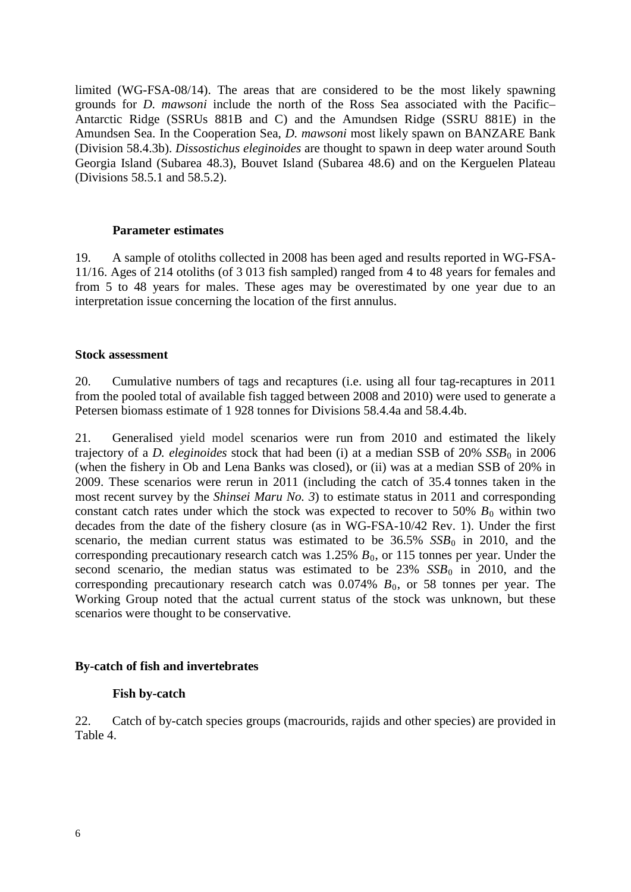limited (WG-FSA-08/14). The areas that are considered to be the most likely spawning grounds for *D. mawsoni* include the north of the Ross Sea associated with the Pacific– Antarctic Ridge (SSRUs 881B and C) and the Amundsen Ridge (SSRU 881E) in the Amundsen Sea. In the Cooperation Sea, *D. mawsoni* most likely spawn on BANZARE Bank (Division 58.4.3b). *Dissostichus eleginoides* are thought to spawn in deep water around South Georgia Island (Subarea 48.3), Bouvet Island (Subarea 48.6) and on the Kerguelen Plateau (Divisions 58.5.1 and 58.5.2).

### **Parameter estimates**

19. A sample of otoliths collected in 2008 has been aged and results reported in WG-FSA-11/16. Ages of 214 otoliths (of 3 013 fish sampled) ranged from 4 to 48 years for females and from 5 to 48 years for males. These ages may be overestimated by one year due to an interpretation issue concerning the location of the first annulus.

#### **Stock assessment**

20. Cumulative numbers of tags and recaptures (i.e. using all four tag-recaptures in 2011 from the pooled total of available fish tagged between 2008 and 2010) were used to generate a Petersen biomass estimate of 1 928 tonnes for Divisions 58.4.4a and 58.4.4b.

21. Generalised yield model scenarios were run from 2010 and estimated the likely trajectory of a *D. eleginoides* stock that had been (i) at a median SSB of  $20\%$  *SSB*<sup>0</sup> in 2006 (when the fishery in Ob and Lena Banks was closed), or (ii) was at a median SSB of 20% in 2009. These scenarios were rerun in 2011 (including the catch of 35.4 tonnes taken in the most recent survey by the *Shinsei Maru No. 3*) to estimate status in 2011 and corresponding constant catch rates under which the stock was expected to recover to 50%  $B_0$  within two decades from the date of the fishery closure (as in WG-FSA-10/42 Rev. 1). Under the first scenario, the median current status was estimated to be  $36.5\%$   $SSB<sub>0</sub>$  in 2010, and the corresponding precautionary research catch was  $1.25\%$   $B_0$ , or 115 tonnes per year. Under the second scenario, the median status was estimated to be  $23\%$  *SSB*<sup>0</sup> in 2010, and the corresponding precautionary research catch was  $0.074\%$   $B_0$ , or 58 tonnes per year. The Working Group noted that the actual current status of the stock was unknown, but these scenarios were thought to be conservative.

### **By-catch of fish and invertebrates**

### **Fish by-catch**

22. Catch of by-catch species groups (macrourids, rajids and other species) are provided in Table 4.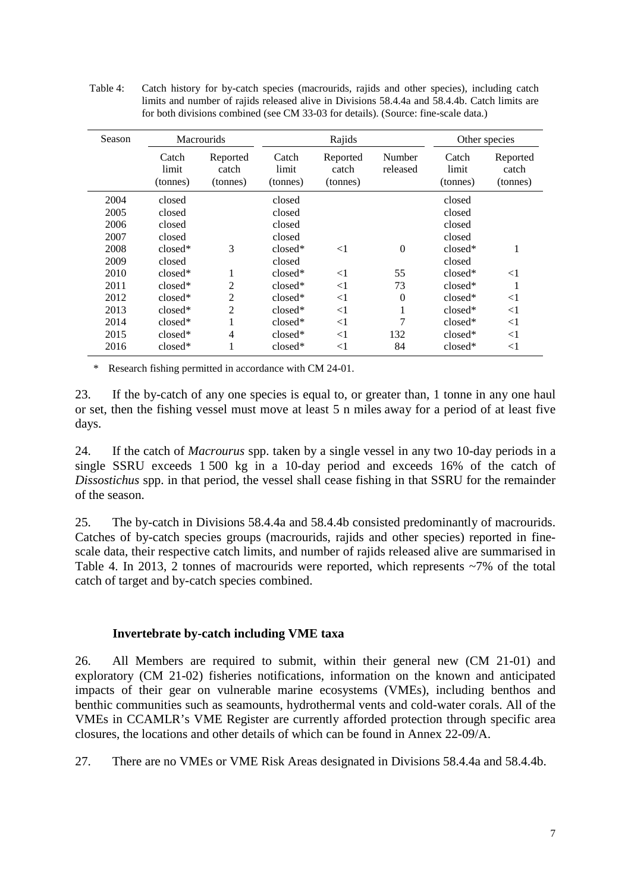| Table 4: | Catch history for by-catch species (macrourids, rajids and other species), including catch    |
|----------|-----------------------------------------------------------------------------------------------|
|          | limits and number of rajids released alive in Divisions 58.4.4a and 58.4.4b. Catch limits are |
|          | for both divisions combined (see CM 33-03 for details). (Source: fine-scale data.)            |

| Season | <b>Macrourids</b>          |                               | Rajids                     |                               |                    | Other species              |                               |
|--------|----------------------------|-------------------------------|----------------------------|-------------------------------|--------------------|----------------------------|-------------------------------|
|        | Catch<br>limit<br>(tonnes) | Reported<br>catch<br>(tonnes) | Catch<br>limit<br>(tonnes) | Reported<br>catch<br>(tonnes) | Number<br>released | Catch<br>limit<br>(tonnes) | Reported<br>catch<br>(tonnes) |
| 2004   | closed                     |                               | closed                     |                               |                    | closed                     |                               |
| 2005   | closed                     |                               | closed                     |                               |                    | closed                     |                               |
| 2006   | closed                     |                               | closed                     |                               |                    | closed                     |                               |
| 2007   | closed                     |                               | closed                     |                               |                    | closed                     |                               |
| 2008   | closed*                    | 3                             | closed*                    | $<$ 1                         | $\theta$           | $closed*$                  | 1                             |
| 2009   | closed                     |                               | closed                     |                               |                    | closed                     |                               |
| 2010   | closed*                    |                               | $closed*$                  | $<$ 1                         | 55                 | $closed*$                  | $<$ 1                         |
| 2011   | $closed*$                  | 2                             | $closed*$                  | $<$ 1                         | 73                 | $closed*$                  | -1                            |
| 2012   | $closed*$                  | $\overline{c}$                | $closed*$                  | $<$ 1                         | $\theta$           | $closed*$                  | $<$ 1                         |
| 2013   | closed*                    | $\overline{c}$                | $closed*$                  | $<$ 1                         |                    | $closed*$                  | $<$ 1                         |
| 2014   | closed*                    |                               | $closed*$                  | $<$ 1                         | 7                  | $closed*$                  | $<$ 1                         |
| 2015   | $closed*$                  | 4                             | $closed*$                  | $<$ 1                         | 132                | $closed*$                  | $<$ 1                         |
| 2016   | $closed*$                  |                               | $closed*$                  | $<$ 1                         | 84                 | $closed*$                  | $<$ 1                         |

\* Research fishing permitted in accordance with CM 24-01.

23. If the by-catch of any one species is equal to, or greater than, 1 tonne in any one haul or set, then the fishing vessel must move at least 5 n miles away for a period of at least five days.

24. If the catch of *Macrourus* spp. taken by a single vessel in any two 10-day periods in a single SSRU exceeds 1 500 kg in a 10-day period and exceeds 16% of the catch of *Dissostichus* spp. in that period, the vessel shall cease fishing in that SSRU for the remainder of the season.

25. The by-catch in Divisions 58.4.4a and 58.4.4b consisted predominantly of macrourids. Catches of by-catch species groups (macrourids, rajids and other species) reported in finescale data, their respective catch limits, and number of rajids released alive are summarised in Table 4. In 2013, 2 tonnes of macrourids were reported, which represents ~7% of the total catch of target and by-catch species combined.

### **Invertebrate by-catch including VME taxa**

26. All Members are required to submit, within their general new (CM 21-01) and exploratory (CM 21-02) fisheries notifications, information on the known and anticipated impacts of their gear on vulnerable marine ecosystems (VMEs), including benthos and benthic communities such as seamounts, hydrothermal vents and cold-water corals. All of the VMEs in CCAMLR's VME Register are currently afforded protection through specific area closures, the locations and other details of which can be found in Annex 22-09/A.

27. There are no VMEs or VME Risk Areas designated in Divisions 58.4.4a and 58.4.4b.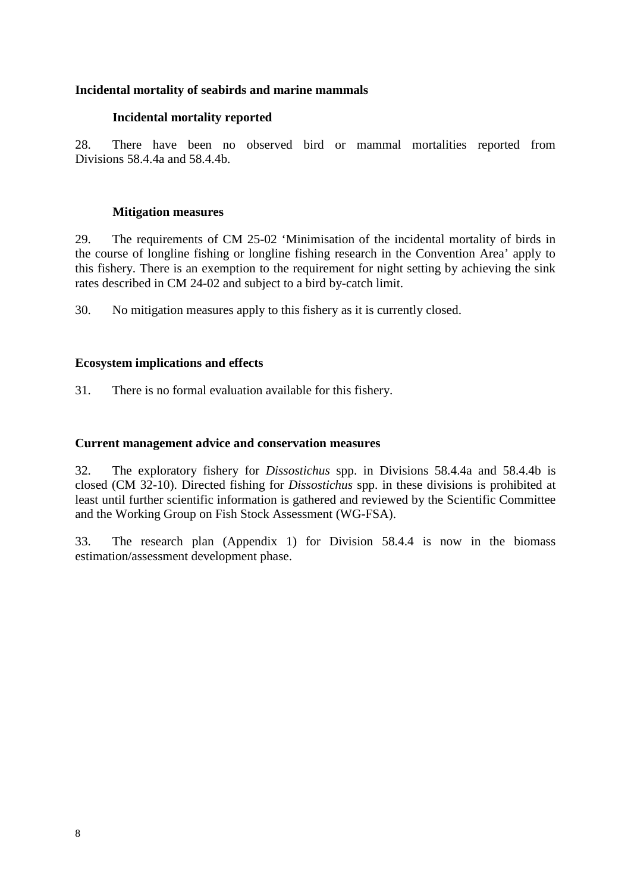# **Incidental mortality of seabirds and marine mammals**

# **Incidental mortality reported**

28. There have been no observed bird or mammal mortalities reported from Divisions 58.4.4a and 58.4.4b.

## **Mitigation measures**

29. The requirements of CM 25-02 'Minimisation of the incidental mortality of birds in the course of longline fishing or longline fishing research in the Convention Area' apply to this fishery. There is an exemption to the requirement for night setting by achieving the sink rates described in CM 24-02 and subject to a bird by-catch limit.

30. No mitigation measures apply to this fishery as it is currently closed.

# **Ecosystem implications and effects**

31. There is no formal evaluation available for this fishery.

# **Current management advice and conservation measures**

32. The exploratory fishery for *Dissostichus* spp. in Divisions 58.4.4a and 58.4.4b is closed (CM 32-10). Directed fishing for *Dissostichus* spp. in these divisions is prohibited at least until further scientific information is gathered and reviewed by the Scientific Committee and the Working Group on Fish Stock Assessment (WG-FSA).

33. The research plan (Appendix 1) for Division 58.4.4 is now in the biomass estimation/assessment development phase.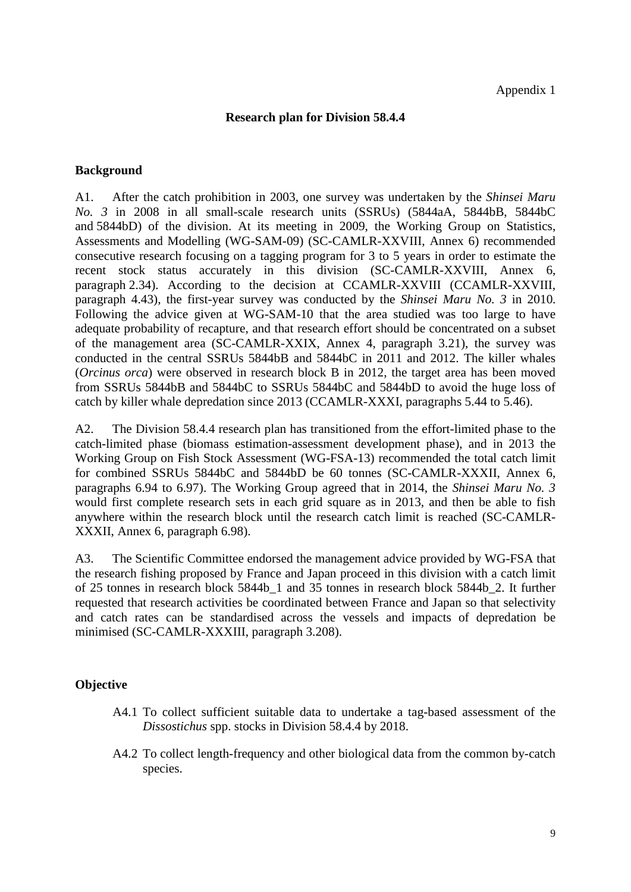### **Research plan for Division 58.4.4**

#### **Background**

A1. After the catch prohibition in 2003, one survey was undertaken by the *Shinsei Maru No. 3* in 2008 in all small-scale research units (SSRUs) (5844aA, 5844bB, 5844bC and 5844bD) of the division. At its meeting in 2009, the Working Group on Statistics, Assessments and Modelling (WG-SAM-09) (SC-CAMLR-XXVIII, Annex 6) recommended consecutive research focusing on a tagging program for 3 to 5 years in order to estimate the recent stock status accurately in this division (SC-CAMLR-XXVIII, Annex 6, paragraph 2.34). According to the decision at CCAMLR-XXVIII (CCAMLR-XXVIII, paragraph 4.43), the first-year survey was conducted by the *Shinsei Maru No. 3* in 2010. Following the advice given at WG-SAM-10 that the area studied was too large to have adequate probability of recapture, and that research effort should be concentrated on a subset of the management area (SC-CAMLR-XXIX, Annex 4, paragraph 3.21), the survey was conducted in the central SSRUs 5844bB and 5844bC in 2011 and 2012. The killer whales (*Orcinus orca*) were observed in research block B in 2012, the target area has been moved from SSRUs 5844bB and 5844bC to SSRUs 5844bC and 5844bD to avoid the huge loss of catch by killer whale depredation since 2013 (CCAMLR-XXXI, paragraphs 5.44 to 5.46).

A2. The Division 58.4.4 research plan has transitioned from the effort-limited phase to the catch-limited phase (biomass estimation-assessment development phase), and in 2013 the Working Group on Fish Stock Assessment (WG-FSA-13) recommended the total catch limit for combined SSRUs 5844bC and 5844bD be 60 tonnes (SC-CAMLR-XXXII, Annex 6, paragraphs 6.94 to 6.97). The Working Group agreed that in 2014, the *Shinsei Maru No. 3*  would first complete research sets in each grid square as in 2013, and then be able to fish anywhere within the research block until the research catch limit is reached (SC-CAMLR-XXXII, Annex 6, paragraph 6.98).

A3. The Scientific Committee endorsed the management advice provided by WG-FSA that the research fishing proposed by France and Japan proceed in this division with a catch limit of 25 tonnes in research block 5844b\_1 and 35 tonnes in research block 5844b\_2. It further requested that research activities be coordinated between France and Japan so that selectivity and catch rates can be standardised across the vessels and impacts of depredation be minimised (SC-CAMLR-XXXIII, paragraph 3.208).

### **Objective**

- A4.1 To collect sufficient suitable data to undertake a tag-based assessment of the *Dissostichus* spp. stocks in Division 58.4.4 by 2018.
- A4.2 To collect length-frequency and other biological data from the common by-catch species.